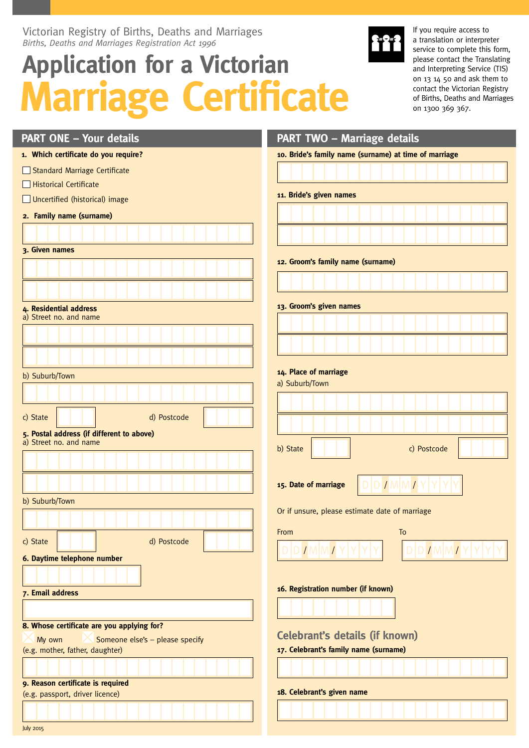Victorian Registry of Births, Deaths and Marriages *Births, Deaths and Marriages Registration Act 1996*

# **Application for a Victorian Marriage Certificate**



If you require access to a translation or interpreter service to complete this form, please contact the Translating and Interpreting Service (TIS) on 13 14 50 and ask them to contact the Victorian Registry of Births, Deaths and Marriages on 1300 369 367.

| <b>PART ONE - Your details</b>                                           | <b>PART TWO - Marriage details</b>                       |
|--------------------------------------------------------------------------|----------------------------------------------------------|
| 1. Which certificate do you require?                                     | 10. Bride's family name (surname) at time of marriage    |
| Standard Marriage Certificate                                            |                                                          |
| Historical Certificate                                                   |                                                          |
| Uncertified (historical) image                                           | 11. Bride's given names                                  |
| 2. Family name (surname)                                                 |                                                          |
|                                                                          |                                                          |
| 3. Given names                                                           |                                                          |
|                                                                          | 12. Groom's family name (surname)                        |
|                                                                          |                                                          |
|                                                                          |                                                          |
| 4. Residential address                                                   | 13. Groom's given names                                  |
| a) Street no. and name                                                   |                                                          |
|                                                                          |                                                          |
|                                                                          |                                                          |
| b) Suburb/Town                                                           | 14. Place of marriage                                    |
|                                                                          | a) Suburb/Town                                           |
|                                                                          |                                                          |
| d) Postcode<br>c) State                                                  |                                                          |
| 5. Postal address (if different to above)                                |                                                          |
| a) Street no. and name                                                   | b) State<br>c) Postcode                                  |
|                                                                          |                                                          |
|                                                                          |                                                          |
|                                                                          | D D / M M / Y Y<br>15. Date of marriage                  |
| b) Suburb/Town                                                           | Or if unsure, please estimate date of marriage           |
|                                                                          |                                                          |
| c) State<br>d) Postcode                                                  | <b>From</b> the contract of the contract of the<br>To To |
| 6. Daytime telephone number                                              | IMMYY<br>IMMI                                            |
|                                                                          |                                                          |
|                                                                          | 16. Registration number (if known)                       |
| 7. Email address                                                         |                                                          |
|                                                                          |                                                          |
| 8. Whose certificate are you applying for?                               |                                                          |
| Someone else's - please specify<br>My own                                | <b>Celebrant's details (if known)</b>                    |
| 17. Celebrant's family name (surname)<br>(e.g. mother, father, daughter) |                                                          |
|                                                                          |                                                          |
| 9. Reason certificate is required<br>(e.g. passport, driver licence)     | 18. Celebrant's given name                               |
|                                                                          |                                                          |
|                                                                          |                                                          |
| July 2015                                                                |                                                          |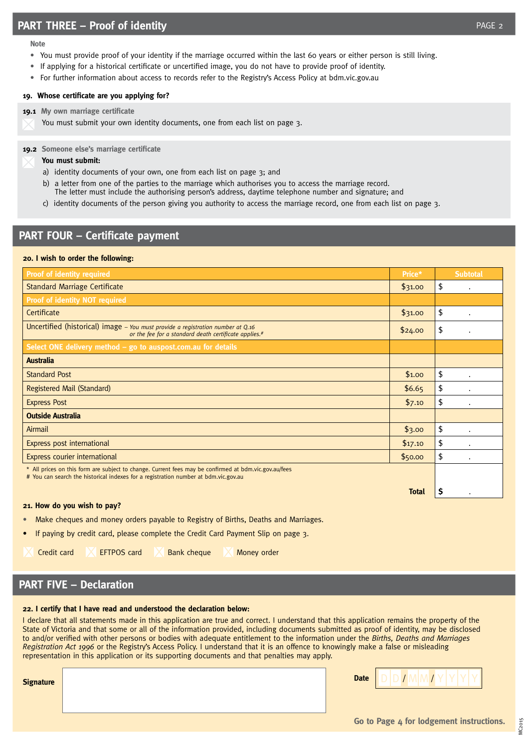- You must provide proof of your identity if the marriage occurred within the last 60 years or either person is still living.
- If applying for a historical certificate or uncertified image, you do not have to provide proof of identity.
- For further information about access to records refer to the Registry's Access Policy at bdm.vic.gov.au

### **19. Whose certificate are you applying for?**

#### **19.1 My own marriage certificate**

**Note**

You must submit your own identity documents, one from each list on page 3.

**19.2 Someone else's marriage certificate**

#### **You must submit:**

- a) identity documents of your own, one from each list on page 3; and
- b) a letter from one of the parties to the marriage which authorises you to access the marriage record. The letter must include the authorising person's address, daytime telephone number and signature; and
- c) identity documents of the person giving you authority to access the marriage record, one from each list on page 3.

# **PART FOUR – Certificate payment**

#### **20. I wish to order the following:**

| <b>Proof of identity required</b>                                                                                                                                                            | Price*       | <b>Subtotal</b> |
|----------------------------------------------------------------------------------------------------------------------------------------------------------------------------------------------|--------------|-----------------|
| <b>Standard Marriage Certificate</b>                                                                                                                                                         | \$31.00      | \$<br>$\bullet$ |
| <b>Proof of identity NOT required</b>                                                                                                                                                        |              |                 |
| Certificate                                                                                                                                                                                  | \$31.00      | \$              |
| Uncertified (historical) image – You must provide a registration number at $Q_{.16}$<br>or the fee for a standard death certificate applies.#                                                | \$24.00      | \$              |
| Select ONE delivery method - go to auspost.com.au for details                                                                                                                                |              |                 |
| <b>Australia</b>                                                                                                                                                                             |              |                 |
| <b>Standard Post</b>                                                                                                                                                                         | \$1.00       | \$              |
| Registered Mail (Standard)                                                                                                                                                                   | \$6.65       | \$              |
| <b>Express Post</b>                                                                                                                                                                          | \$7.10       | \$              |
| <b>Outside Australia</b>                                                                                                                                                                     |              |                 |
| Airmail                                                                                                                                                                                      | \$3.00       | \$              |
| Express post international                                                                                                                                                                   | \$17.10      | \$<br>$\bullet$ |
| Express courier international                                                                                                                                                                | \$50.00      | \$              |
| * All prices on this form are subject to change. Current fees may be confirmed at bdm.vic.gov.au/fees<br># You can search the historical indexes for a registration number at bdm.vic.gov.au |              |                 |
|                                                                                                                                                                                              | <b>Total</b> | S               |

#### **21. How do you wish to pay?**

- Make cheques and money orders payable to Registry of Births, Deaths and Marriages.
- If paying by credit card, please complete the Credit Card Payment Slip on page 3.
- 
- 

Credit card  $\Box$  EFTPOS card  $\Box$  Bank cheque  $\Box$  Money order

# **PART FIVE – Declaration**

#### **22. I certify that I have read and understood the declaration below:**

I declare that all statements made in this application are true and correct. I understand that this application remains the property of the State of Victoria and that some or all of the information provided, including documents submitted as proof of identity, may be disclosed to and/or verified with other persons or bodies with adequate entitlement to the information under the *Births, Deaths and Marriages Registration Act 1996* or the Registry's Access Policy. I understand that it is an offence to knowingly make a false or misleading representation in this application or its supporting documents and that penalties may apply.

| gnature |  |
|---------|--|
|         |  |
|         |  |

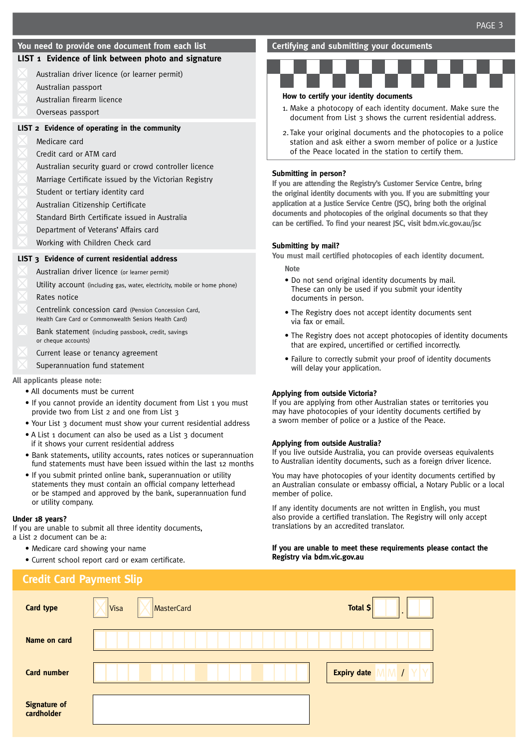#### **You need to provide one document from each list**

## **LIST 1 Evidence of link between photo and signature**

- Australian driver licence (or learner permit)
- Australian passport
- Australian firearm licence
- Overseas passport

#### **LIST 2 Evidence of operating in the community**

- Medicare card
- Credit card or ATM card
- Australian security guard or crowd controller licence
- Marriage Certificate issued by the Victorian Registry
- Student or tertiary identity card
- Australian Citizenship Certificate
- Standard Birth Certificate issued in Australia
- Department of Veterans' Affairs card
- Working with Children Check card

#### **LIST 3 Evidence of current residential address**

- Australian driver licence (or learner permit)
- Utility account (including gas, water, electricity, mobile or home phone)
- Rates notice
- Centrelink concession card (Pension Concession Card, Health Care Card or Commonwealth Seniors Health Card)
- Bank statement (including passbook, credit, savings or cheque accounts)
- Current lease or tenancy agreement
- Superannuation fund statement

#### **All applicants please note:**

- All documents must be current
- If you cannot provide an identity document from List 1 you must provide two from List 2 and one from List 3
- Your List 3 document must show your current residential address
- A List 1 document can also be used as a List 3 document if it shows your current residential address
- Bank statements, utility accounts, rates notices or superannuation fund statements must have been issued within the last 12 months
- If you submit printed online bank, superannuation or utility statements they must contain an official company letterhead or be stamped and approved by the bank, superannuation fund or utility company.

#### **Under 18 years?**

If you are unable to submit all three identity documents, a List 2 document can be a:

- Medicare card showing your name
- Current school report card or exam certificate.

#### **Certifying and submitting your documents**



#### **How to certify your identity documents**

- 1. Make a photocopy of each identity document. Make sure the document from List 3 shows the current residential address.
- 2. Take your original documents and the photocopies to a police station and ask either a sworn member of police or a Justice of the Peace located in the station to certify them.

#### **Submitting in person?**

**If you are attending the Registry's Customer Service Centre, bring the original identity documents with you. If you are submitting your application at a Justice Service Centre (JSC), bring both the original documents and photocopies of the original documents so that they can be certified. To find your nearest JSC, visit bdm.vic.gov.au/jsc**

#### **Submitting by mail?**

**You must mail certified photocopies of each identity document. Note**

- Do not send original identity documents by mail. These can only be used if you submit your identity documents in person.
- The Registry does not accept identity documents sent via fax or email.
- The Registry does not accept photocopies of identity documents that are expired, uncertified or certified incorrectly.
- Failure to correctly submit your proof of identity documents will delay your application.

#### **Applying from outside Victoria?**

If you are applying from other Australian states or territories you may have photocopies of your identity documents certified by a sworn member of police or a Justice of the Peace.

#### **Applying from outside Australia?**

If you live outside Australia, you can provide overseas equivalents to Australian identity documents, such as a foreign driver licence.

You may have photocopies of your identity documents certified by an Australian consulate or embassy official, a Notary Public or a local member of police.

If any identity documents are not written in English, you must also provide a certified translation. The Registry will only accept translations by an accredited translator.

#### **If you are unable to meet these requirements please contact the Registry via bdm.vic.gov.au**

| <b>Credit Card Payment Slip</b>   |                    |                       |
|-----------------------------------|--------------------|-----------------------|
| <b>Card type</b>                  | MasterCard<br>Visa | Total \$<br>$\bullet$ |
| Name on card                      |                    |                       |
| <b>Card number</b>                |                    | <b>Expiry date</b>    |
| <b>Signature of</b><br>cardholder |                    |                       |